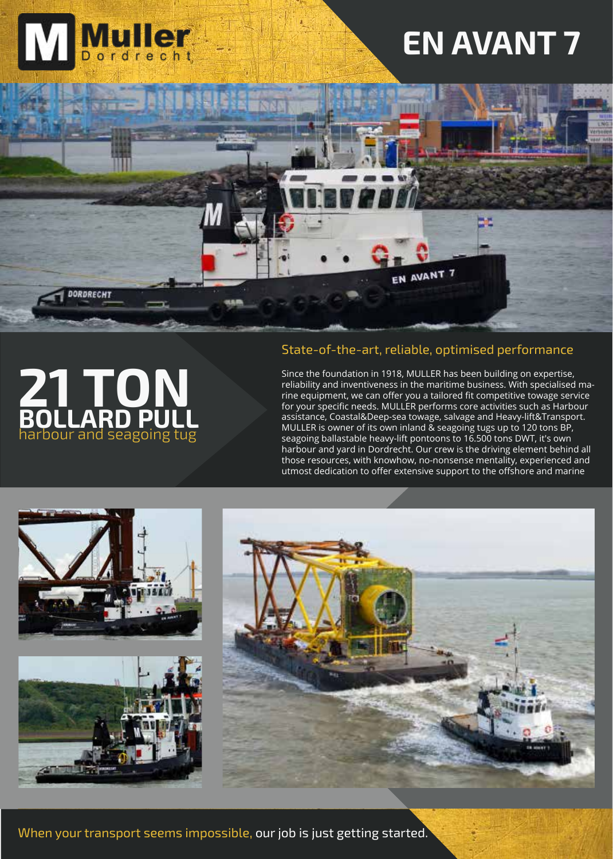

harbour and seagoing tug **21 TON BOLLARD PULL**

### State-of-the-art, reliable, optimised performance

Since the foundation in 1918, MULLER has been building on expertise, reliability and inventiveness in the maritime business. With specialised marine equipment, we can offer you a tailored fit competitive towage service for your specific needs. MULLER performs core activities such as Harbour assistance, Coastal&Deep-sea towage, salvage and Heavy-lift&Transport. MULLER is owner of its own inland & seagoing tugs up to 120 tons BP, seagoing ballastable heavy-lift pontoons to 16.500 tons DWT, it's own harbour and yard in Dordrecht. Our crew is the driving element behind all those resources, with knowhow, no-nonsense mentality, experienced and utmost dedication to offer extensive support to the offshore and marine



When your transport seems impossible, our job is just getting started.